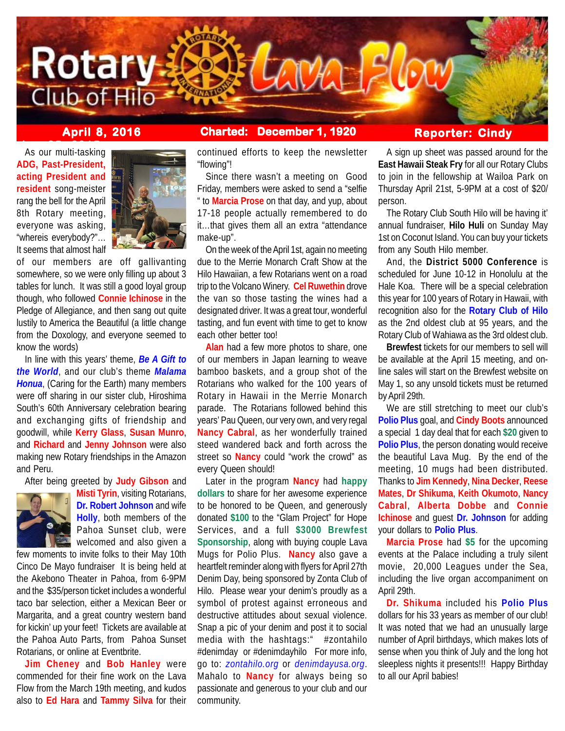

# **April 8, 2016 Charted: December 1, 1920**

# **Reporter: Cindy**

**As our multi-tasking ADG, Past-President, acting President and resident** song-meister rang the bell for the April 8th Rotary meeting, everyone was asking, "whereis everybody?"… It seems that almost half



of our members are off gallivanting somewhere, so we were only filling up about 3 tables for lunch. It was still a good loyal group though, who followed **Connie Ichinose** in the Pledge of Allegiance, and then sang out quite lustily to America the Beautiful (a little change from the Doxology, and everyone seemed to know the words)

In line with this years' theme, *Be A Gift to the World*, and our club's theme *Malama Honua*, (Caring for the Earth) many members were off sharing in our sister club, Hiroshima South's 60th Anniversary celebration bearing and exchanging gifts of friendship and goodwill, while **Kerry Glass**, **Susan Munro**, and **Richard** and **Jenny Johnson** were also making new Rotary friendships in the Amazon and Peru.

After being greeted by **Judy Gibson** and



**Misti Tyrin**, visiting Rotarians, **Dr. Robert Johnson** and wife **Holly**, both members of the Pahoa Sunset club, were welcomed and also given a

few moments to invite folks to their May 10th Cinco De Mayo fundraiser It is being held at the Akebono Theater in Pahoa, from 6-9PM and the \$35/person ticket includes a wonderful taco bar selection, either a Mexican Beer or Margarita, and a great country western band for kickin' up your feet! Tickets are available at the Pahoa Auto Parts, from Pahoa Sunset Rotarians, or online at Eventbrite.

**Jim Cheney** and **Bob Hanley** were commended for their fine work on the Lava Flow from the March 19th meeting, and kudos also to **Ed Hara** and **Tammy Silva** for their

continued efforts to keep the newsletter "flowing"!

Since there wasn't a meeting on Good Friday, members were asked to send a "selfie " to **Marcia Prose** on that day, and yup, about 17-18 people actually remembered to do it…that gives them all an extra "attendance make-up".

On the week of the April 1st, again no meeting due to the Merrie Monarch Craft Show at the Hilo Hawaiian, a few Rotarians went on a road trip to the Volcano Winery. **Cel Ruwethin** drove the van so those tasting the wines had a designated driver. It was a great tour, wonderful tasting, and fun event with time to get to know each other better too!

**Alan** had a few more photos to share, one of our members in Japan learning to weave bamboo baskets, and a group shot of the Rotarians who walked for the 100 years of Rotary in Hawaii in the Merrie Monarch parade. The Rotarians followed behind this years' Pau Queen, our very own, and very regal **Nancy Cabral**, as her wonderfully trained steed wandered back and forth across the street so **Nancy** could "work the crowd" as every Queen should!

Later in the program **Nancy** had **happy dollars** to share for her awesome experience to be honored to be Queen, and generously donated **\$100** to the "Glam Project" for Hope Services, and a full **\$3000 Brewfest Sponsorship**, along with buying couple Lava Mugs for Polio Plus. **Nancy** also gave a heartfelt reminder along with flyers for April 27th Denim Day, being sponsored by Zonta Club of Hilo. Please wear your denim's proudly as a symbol of protest against erroneous and destructive attitudes about sexual violence. Snap a pic of your denim and post it to social media with the hashtags:" #zontahilo #denimday or #denimdayhilo For more info, go to: *zontahilo.org* or *denimdayusa.org*. Mahalo to **Nancy** for always being so passionate and generous to your club and our community.

A sign up sheet was passed around for the **East Hawaii Steak Fry** for all our Rotary Clubs to join in the fellowship at Wailoa Park on Thursday April 21st, 5-9PM at a cost of \$20/ person.

The Rotary Club South Hilo will be having it' annual fundraiser, **Hilo Huli** on Sunday May 1st on Coconut Island. You can buy your tickets from any South Hilo member.

And, the **District 5000 Conference** is scheduled for June 10-12 in Honolulu at the Hale Koa. There will be a special celebration this year for 100 years of Rotary in Hawaii, with recognition also for the **Rotary Club of Hilo** as the 2nd oldest club at 95 years, and the Rotary Club of Wahiawa as the 3rd oldest club.

**Brewfest** tickets for our members to sell will be available at the April 15 meeting, and online sales will start on the Brewfest website on May 1, so any unsold tickets must be returned by April 29th.

We are still stretching to meet our club's **Polio Plus** goal, and **Cindy Boots** announced a special 1 day deal that for each **\$20** given to **Polio Plus**, the person donating would receive the beautiful Lava Mug. By the end of the meeting, 10 mugs had been distributed. Thanks to **Jim Kennedy**, **Nina Decker**, **Reese Mates**, **Dr Shikuma**, **Keith Okumoto**, **Nancy Cabral**, **Alberta Dobbe** and **Connie Ichinose** and guest **Dr. Johnson** for adding your dollars to **Polio Plus**.

**Marcia Prose** had **\$5** for the upcoming events at the Palace including a truly silent movie, 20,000 Leagues under the Sea, including the live organ accompaniment on April 29th.

**Dr. Shikuma** included his **Polio Plus** dollars for his 33 years as member of our club! It was noted that we had an unusually large number of April birthdays, which makes lots of sense when you think of July and the long hot sleepless nights it presents!!! Happy Birthday to all our April babies!